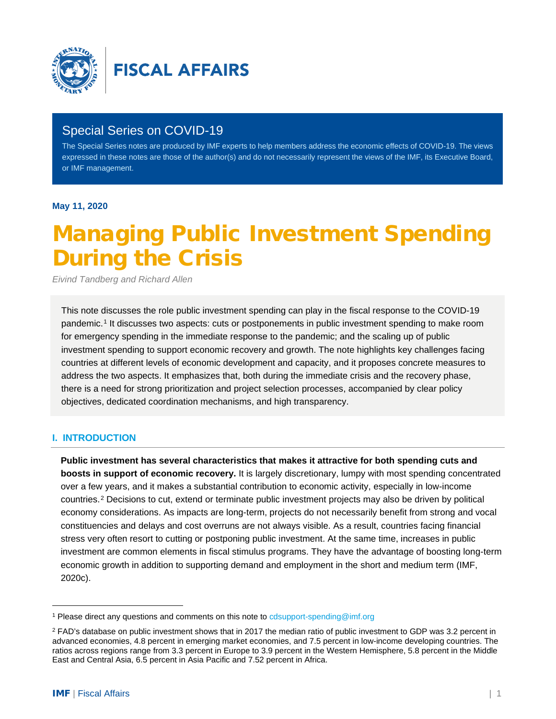

# Special Series on COVID-19

The Special Series notes are produced by IMF experts to help members address the economic effects of COVID-19. The views expressed in these notes are those of the author(s) and do not necessarily represent the views of the IMF, its Executive Board, or IMF management.

**May 11, 2020**

# Managing Public Investment Spending During the Crisis

*Eivind Tandberg and Richard Allen*

This note discusses the role public investment spending can play in the fiscal response to the COVID-19 pandemic.[1](#page-0-0) It discusses two aspects: cuts or postponements in public investment spending to make room for emergency spending in the immediate response to the pandemic; and the scaling up of public investment spending to support economic recovery and growth. The note highlights key challenges facing countries at different levels of economic development and capacity, and it proposes concrete measures to address the two aspects. It emphasizes that, both during the immediate crisis and the recovery phase, there is a need for strong prioritization and project selection processes, accompanied by clear policy objectives, dedicated coordination mechanisms, and high transparency.

## **I. INTRODUCTION**

**Public investment has several characteristics that makes it attractive for both spending cuts and boosts in support of economic recovery.** It is largely discretionary, lumpy with most spending concentrated over a few years, and it makes a substantial contribution to economic activity, especially in low-income countries.[2](#page-0-1) Decisions to cut, extend or terminate public investment projects may also be driven by political economy considerations. As impacts are long-term, projects do not necessarily benefit from strong and vocal constituencies and delays and cost overruns are not always visible. As a result, countries facing financial stress very often resort to cutting or postponing public investment. At the same time, increases in public investment are common elements in fiscal stimulus programs. They have the advantage of boosting long-term economic growth in addition to supporting demand and employment in the short and medium term (IMF, 2020c).

<span id="page-0-0"></span><sup>&</sup>lt;sup>1</sup> Please direct any questions and comments on this note t[o cdsupport-spending@imf.org](mailto:cdsupport-spending@imf.org)

<span id="page-0-1"></span> $2$  FAD's database on public investment shows that in 2017 the median ratio of public investment to GDP was 3.2 percent in advanced economies, 4.8 percent in emerging market economies, and 7.5 percent in low-income developing countries. The ratios across regions range from 3.3 percent in Europe to 3.9 percent in the Western Hemisphere, 5.8 percent in the Middle East and Central Asia, 6.5 percent in Asia Pacific and 7.52 percent in Africa.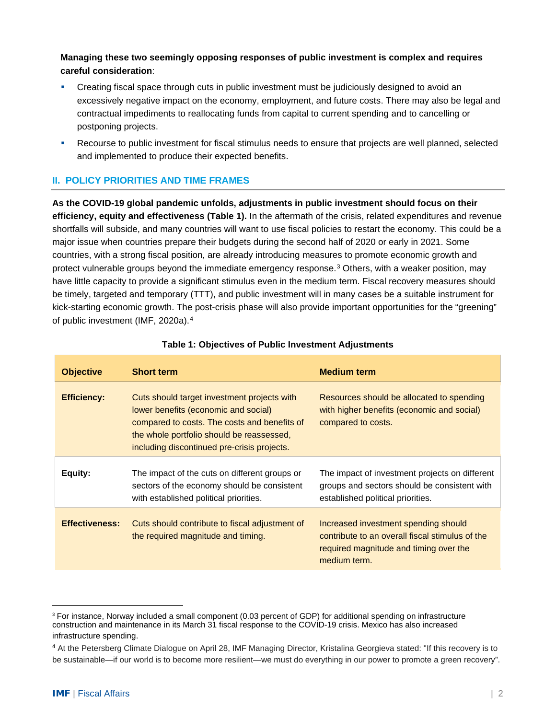**Managing these two seemingly opposing responses of public investment is complex and requires careful consideration**:

- Creating fiscal space through cuts in public investment must be judiciously designed to avoid an excessively negative impact on the economy, employment, and future costs. There may also be legal and contractual impediments to reallocating funds from capital to current spending and to cancelling or postponing projects.
- Recourse to public investment for fiscal stimulus needs to ensure that projects are well planned, selected and implemented to produce their expected benefits.

## **II. POLICY PRIORITIES AND TIME FRAMES**

**As the COVID-19 global pandemic unfolds, adjustments in public investment should focus on their efficiency, equity and effectiveness (Table 1).** In the aftermath of the crisis, related expenditures and revenue shortfalls will subside, and many countries will want to use fiscal policies to restart the economy. This could be a major issue when countries prepare their budgets during the second half of 2020 or early in 2021. Some countries, with a strong fiscal position, are already introducing measures to promote economic growth and protect vulnerable groups beyond the immediate emergency response.<sup>[3](#page-1-0)</sup> Others, with a weaker position, may have little capacity to provide a significant stimulus even in the medium term. Fiscal recovery measures should be timely, targeted and temporary (TTT), and public investment will in many cases be a suitable instrument for kick-starting economic growth. The post-crisis phase will also provide important opportunities for the "greening" of public investment (IMF, 2020a).[4](#page-1-1)

| <b>Objective</b>      | <b>Short term</b>                                                                                                                                                                                                               | <b>Medium term</b>                                                                                                                                |
|-----------------------|---------------------------------------------------------------------------------------------------------------------------------------------------------------------------------------------------------------------------------|---------------------------------------------------------------------------------------------------------------------------------------------------|
| <b>Efficiency:</b>    | Cuts should target investment projects with<br>lower benefits (economic and social)<br>compared to costs. The costs and benefits of<br>the whole portfolio should be reassessed,<br>including discontinued pre-crisis projects. | Resources should be allocated to spending<br>with higher benefits (economic and social)<br>compared to costs.                                     |
| Equity:               | The impact of the cuts on different groups or<br>sectors of the economy should be consistent<br>with established political priorities.                                                                                          | The impact of investment projects on different<br>groups and sectors should be consistent with<br>established political priorities.               |
| <b>Effectiveness:</b> | Cuts should contribute to fiscal adjustment of<br>the required magnitude and timing.                                                                                                                                            | Increased investment spending should<br>contribute to an overall fiscal stimulus of the<br>required magnitude and timing over the<br>medium term. |

#### **Table 1: Objectives of Public Investment Adjustments**

<span id="page-1-0"></span><sup>&</sup>lt;sup>3</sup> For instance, Norway included a small component (0.03 percent of GDP) for additional spending on infrastructure construction and maintenance in its March 31 fiscal response to the COVID-19 crisis. Mexico has also increased infrastructure spending.

<span id="page-1-1"></span><sup>4</sup> At the Petersberg Climate Dialogue on April 28, IMF Managing Director, Kristalina Georgieva stated: "If this recovery is to be sustainable—if our world is to become more resilient—we must do everything in our power to promote a green recovery".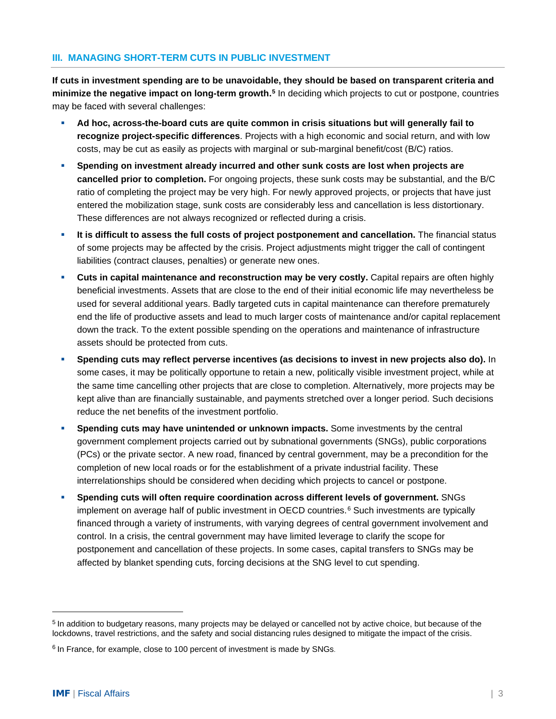#### **III. MANAGING SHORT-TERM CUTS IN PUBLIC INVESTMENT**

**If cuts in investment spending are to be unavoidable, they should be based on transparent criteria and minimize the negative impact on long-term growth.[5](#page-2-0)** In deciding which projects to cut or postpone, countries may be faced with several challenges:

- **Ad hoc, across-the-board cuts are quite common in crisis situations but will generally fail to recognize project-specific differences**. Projects with a high economic and social return, and with low costs, may be cut as easily as projects with marginal or sub-marginal benefit/cost (B/C) ratios.
- **Spending on investment already incurred and other sunk costs are lost when projects are cancelled prior to completion.** For ongoing projects, these sunk costs may be substantial, and the B/C ratio of completing the project may be very high. For newly approved projects, or projects that have just entered the mobilization stage, sunk costs are considerably less and cancellation is less distortionary. These differences are not always recognized or reflected during a crisis.
- **If is difficult to assess the full costs of project postponement and cancellation.** The financial status of some projects may be affected by the crisis. Project adjustments might trigger the call of contingent liabilities (contract clauses, penalties) or generate new ones.
- **Cuts in capital maintenance and reconstruction may be very costly.** Capital repairs are often highly beneficial investments. Assets that are close to the end of their initial economic life may nevertheless be used for several additional years. Badly targeted cuts in capital maintenance can therefore prematurely end the life of productive assets and lead to much larger costs of maintenance and/or capital replacement down the track. To the extent possible spending on the operations and maintenance of infrastructure assets should be protected from cuts.
- **Spending cuts may reflect perverse incentives (as decisions to invest in new projects also do).** In some cases, it may be politically opportune to retain a new, politically visible investment project, while at the same time cancelling other projects that are close to completion. Alternatively, more projects may be kept alive than are financially sustainable, and payments stretched over a longer period. Such decisions reduce the net benefits of the investment portfolio.
- **Spending cuts may have unintended or unknown impacts.** Some investments by the central government complement projects carried out by subnational governments (SNGs), public corporations (PCs) or the private sector. A new road, financed by central government, may be a precondition for the completion of new local roads or for the establishment of a private industrial facility. These interrelationships should be considered when deciding which projects to cancel or postpone.
- **Spending cuts will often require coordination across different levels of government.** SNGs implement on average half of public investment in  $OECD$  countries.<sup>[6](#page-2-1)</sup> Such investments are typically financed through a variety of instruments, with varying degrees of central government involvement and control. In a crisis, the central government may have limited leverage to clarify the scope for postponement and cancellation of these projects. In some cases, capital transfers to SNGs may be affected by blanket spending cuts, forcing decisions at the SNG level to cut spending.

<span id="page-2-0"></span><sup>5</sup> In addition to budgetary reasons, many projects may be delayed or cancelled not by active choice, but because of the lockdowns, travel restrictions, and the safety and social distancing rules designed to mitigate the impact of the crisis.

<span id="page-2-1"></span><sup>&</sup>lt;sup>6</sup> In France, for example, close to 100 percent of investment is made by SNGs.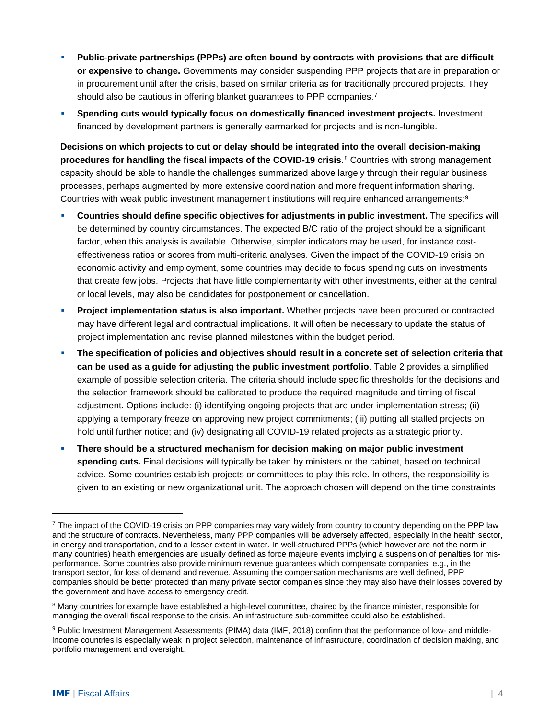- **Public-private partnerships (PPPs) are often bound by contracts with provisions that are difficult or expensive to change.** Governments may consider suspending PPP projects that are in preparation or in procurement until after the crisis, based on similar criteria as for traditionally procured projects. They should also be cautious in offering blanket guarantees to PPP companies.<sup>[7](#page-3-0)</sup>
- **Spending cuts would typically focus on domestically financed investment projects.** Investment financed by development partners is generally earmarked for projects and is non-fungible.

**Decisions on which projects to cut or delay should be integrated into the overall decision-making procedures for handling the fiscal impacts of the COVID-19 crisis**.[8](#page-3-1) Countries with strong management capacity should be able to handle the challenges summarized above largely through their regular business processes, perhaps augmented by more extensive coordination and more frequent information sharing. Countries with weak public investment management institutions will require enhanced arrangements:[9](#page-3-2)

- **Countries should define specific objectives for adjustments in public investment.** The specifics will be determined by country circumstances. The expected B/C ratio of the project should be a significant factor, when this analysis is available. Otherwise, simpler indicators may be used, for instance costeffectiveness ratios or scores from multi-criteria analyses. Given the impact of the COVID-19 crisis on economic activity and employment, some countries may decide to focus spending cuts on investments that create few jobs. Projects that have little complementarity with other investments, either at the central or local levels, may also be candidates for postponement or cancellation.
- **Project implementation status is also important.** Whether projects have been procured or contracted may have different legal and contractual implications. It will often be necessary to update the status of project implementation and revise planned milestones within the budget period.
- **The specification of policies and objectives should result in a concrete set of selection criteria that can be used as a guide for adjusting the public investment portfolio**. Table 2 provides a simplified example of possible selection criteria. The criteria should include specific thresholds for the decisions and the selection framework should be calibrated to produce the required magnitude and timing of fiscal adjustment. Options include: (i) identifying ongoing projects that are under implementation stress; (ii) applying a temporary freeze on approving new project commitments; (iii) putting all stalled projects on hold until further notice; and (iv) designating all COVID-19 related projects as a strategic priority.
- **There should be a structured mechanism for decision making on major public investment spending cuts.** Final decisions will typically be taken by ministers or the cabinet, based on technical advice. Some countries establish projects or committees to play this role. In others, the responsibility is given to an existing or new organizational unit. The approach chosen will depend on the time constraints

<span id="page-3-0"></span> $<sup>7</sup>$  The impact of the COVID-19 crisis on PPP companies may vary widely from country to country depending on the PPP law</sup> and the structure of contracts. Nevertheless, many PPP companies will be adversely affected, especially in the health sector, in energy and transportation, and to a lesser extent in water. In well-structured PPPs (which however are not the norm in many countries) health emergencies are usually defined as force majeure events implying a suspension of penalties for misperformance. Some countries also provide minimum revenue guarantees which compensate companies, e.g., in the transport sector, for loss of demand and revenue. Assuming the compensation mechanisms are well defined, PPP companies should be better protected than many private sector companies since they may also have their losses covered by the government and have access to emergency credit.

<span id="page-3-1"></span><sup>&</sup>lt;sup>8</sup> Many countries for example have established a high-level committee, chaired by the finance minister, responsible for managing the overall fiscal response to the crisis. An infrastructure sub-committee could also be established.

<span id="page-3-2"></span><sup>9</sup> Public Investment Management Assessments (PIMA) data (IMF, 2018) confirm that the performance of low- and middleincome countries is especially weak in project selection, maintenance of infrastructure, coordination of decision making, and portfolio management and oversight.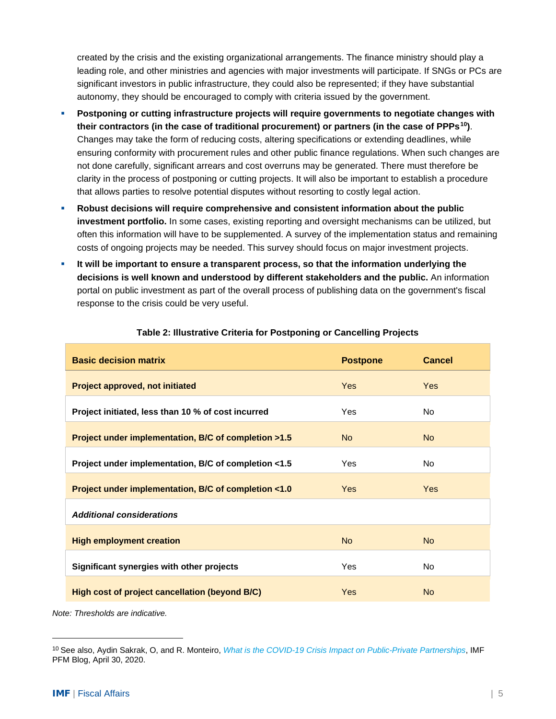created by the crisis and the existing organizational arrangements. The finance ministry should play a leading role, and other ministries and agencies with major investments will participate. If SNGs or PCs are significant investors in public infrastructure, they could also be represented; if they have substantial autonomy, they should be encouraged to comply with criteria issued by the government.

- **Postponing or cutting infrastructure projects will require governments to negotiate changes with their contractors (in the case of traditional procurement) or partners (in the case of PPPs[10](#page-4-0))**. Changes may take the form of reducing costs, altering specifications or extending deadlines, while ensuring conformity with procurement rules and other public finance regulations. When such changes are not done carefully, significant arrears and cost overruns may be generated. There must therefore be clarity in the process of postponing or cutting projects. It will also be important to establish a procedure that allows parties to resolve potential disputes without resorting to costly legal action.
- **Robust decisions will require comprehensive and consistent information about the public investment portfolio.** In some cases, existing reporting and oversight mechanisms can be utilized, but often this information will have to be supplemented. A survey of the implementation status and remaining costs of ongoing projects may be needed. This survey should focus on major investment projects.
- **It will be important to ensure a transparent process, so that the information underlying the decisions is well known and understood by different stakeholders and the public.** An information portal on public investment as part of the overall process of publishing data on the government's fiscal response to the crisis could be very useful.

| <b>Basic decision matrix</b>                         | <b>Postpone</b> | <b>Cancel</b>  |  |
|------------------------------------------------------|-----------------|----------------|--|
| <b>Project approved, not initiated</b>               | Yes             | <b>Yes</b>     |  |
| Project initiated, less than 10 % of cost incurred   | Yes             | <b>No</b>      |  |
| Project under implementation, B/C of completion >1.5 | No.             | N <sub>o</sub> |  |
| Project under implementation, B/C of completion <1.5 | Yes             | <b>No</b>      |  |
| Project under implementation, B/C of completion <1.0 | Yes             | <b>Yes</b>     |  |
| <b>Additional considerations</b>                     |                 |                |  |
| <b>High employment creation</b>                      | <b>No</b>       | <b>No</b>      |  |
| Significant synergies with other projects            | Yes             | <b>No</b>      |  |
| High cost of project cancellation (beyond B/C)       | <b>Yes</b>      | <b>No</b>      |  |

#### **Table 2: Illustrative Criteria for Postponing or Cancelling Projects**

*Note: Thresholds are indicative.*

<span id="page-4-0"></span><sup>10</sup> See also, Aydin Sakrak, O, and R. Monteiro, *[What is the COVID-19 Crisis Impact on Public-Private Partnerships](https://blog-pfm.imf.org/pfmblog/2020/04/-what-is-the-covid-19-crisis-impact-on-public-private-partnerships-.html)*, IMF PFM Blog, April 30, 2020.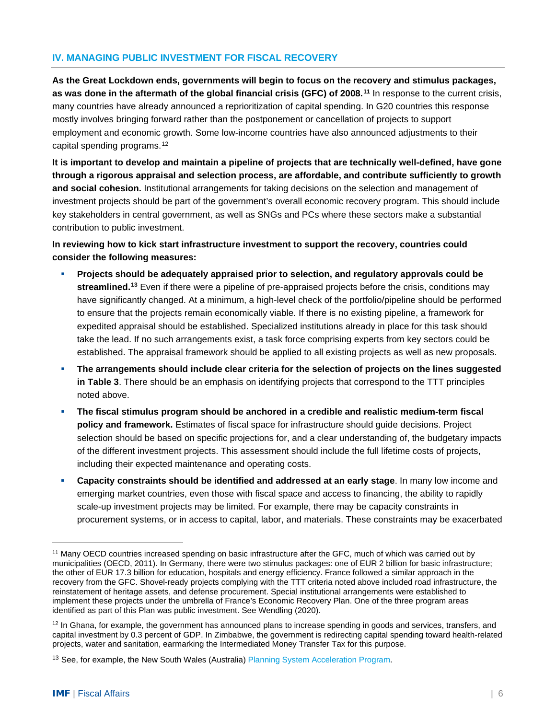#### **IV. MANAGING PUBLIC INVESTMENT FOR FISCAL RECOVERY**

**As the Great Lockdown ends, governments will begin to focus on the recovery and stimulus packages, as was done in the aftermath of the global financial crisis (GFC) of 2008.[11](#page-5-0)** In response to the current crisis, many countries have already announced a reprioritization of capital spending. In G20 countries this response mostly involves bringing forward rather than the postponement or cancellation of projects to support employment and economic growth. Some low-income countries have also announced adjustments to their capital spending programs.[12](#page-5-1)

**It is important to develop and maintain a pipeline of projects that are technically well-defined, have gone through a rigorous appraisal and selection process, are affordable, and contribute sufficiently to growth and social cohesion.** Institutional arrangements for taking decisions on the selection and management of investment projects should be part of the government's overall economic recovery program. This should include key stakeholders in central government, as well as SNGs and PCs where these sectors make a substantial contribution to public investment.

**In reviewing how to kick start infrastructure investment to support the recovery, countries could consider the following measures:**

- **Projects should be adequately appraised prior to selection, and regulatory approvals could be streamlined. [13](#page-5-2)** Even if there were a pipeline of pre-appraised projects before the crisis, conditions may have significantly changed. At a minimum, a high-level check of the portfolio/pipeline should be performed to ensure that the projects remain economically viable. If there is no existing pipeline, a framework for expedited appraisal should be established. Specialized institutions already in place for this task should take the lead. If no such arrangements exist, a task force comprising experts from key sectors could be established. The appraisal framework should be applied to all existing projects as well as new proposals.
- **The arrangements should include clear criteria for the selection of projects on the lines suggested in Table 3**. There should be an emphasis on identifying projects that correspond to the TTT principles noted above.
- **The fiscal stimulus program should be anchored in a credible and realistic medium-term fiscal policy and framework.** Estimates of fiscal space for infrastructure should guide decisions. Project selection should be based on specific projections for, and a clear understanding of, the budgetary impacts of the different investment projects. This assessment should include the full lifetime costs of projects, including their expected maintenance and operating costs.
- **Capacity constraints should be identified and addressed at an early stage**. In many low income and emerging market countries, even those with fiscal space and access to financing, the ability to rapidly scale-up investment projects may be limited. For example, there may be capacity constraints in procurement systems, or in access to capital, labor, and materials. These constraints may be exacerbated

<span id="page-5-0"></span><sup>11</sup> Many OECD countries increased spending on basic infrastructure after the GFC, much of which was carried out by municipalities (OECD, 2011). In Germany, there were two stimulus packages: one of EUR 2 billion for basic infrastructure; the other of EUR 17.3 billion for education, hospitals and energy efficiency. France followed a similar approach in the recovery from the GFC. Shovel-ready projects complying with the TTT criteria noted above included road infrastructure, the reinstatement of heritage assets, and defense procurement. Special institutional arrangements were established to implement these projects under the umbrella of France's Economic Recovery Plan. One of the three program areas identified as part of this Plan was public investment. See Wendling (2020).

<span id="page-5-1"></span> $12$  In Ghana, for example, the government has announced plans to increase spending in goods and services, transfers, and capital investment by 0.3 percent of GDP. In Zimbabwe, the government is redirecting capital spending toward health-related projects, water and sanitation, earmarking the Intermediated Money Transfer Tax for this purpose.

<span id="page-5-2"></span><sup>&</sup>lt;sup>13</sup> See, for example, the New South Wales (Australia) [Planning System Acceleration Program.](https://www.nsw.gov.au/news/accelerated-planning-projects-to-deliver-jobs-and-boost-economy)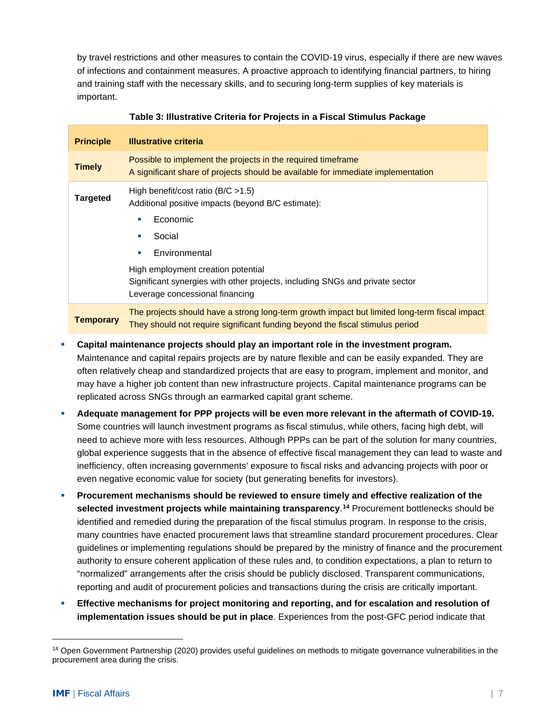by travel restrictions and other measures to contain the COVID-19 virus, especially if there are new waves of infections and containment measures. A proactive approach to identifying financial partners, to hiring and training staff with the necessary skills, and to securing long-term supplies of key materials is important.

| <b>Principle</b> | <b>Illustrative criteria</b>                                                                                                                                                                                                                                                |
|------------------|-----------------------------------------------------------------------------------------------------------------------------------------------------------------------------------------------------------------------------------------------------------------------------|
| <b>Timely</b>    | Possible to implement the projects in the required timeframe<br>A significant share of projects should be available for immediate implementation                                                                                                                            |
| <b>Targeted</b>  | High benefit/cost ratio ( $B/C > 1.5$ )<br>Additional positive impacts (beyond B/C estimate):<br>Economic<br>u.<br>Social<br>×<br>Environmental<br>a.<br>High employment creation potential<br>Significant synergies with other projects, including SNGs and private sector |
|                  | Leverage concessional financing                                                                                                                                                                                                                                             |
| <b>Temporary</b> | The projects should have a strong long-term growth impact but limited long-term fiscal impact<br>They should not require significant funding beyond the fiscal stimulus period                                                                                              |

#### **Table 3: Illustrative Criteria for Projects in a Fiscal Stimulus Package**

- **Capital maintenance projects should play an important role in the investment program.** Maintenance and capital repairs projects are by nature flexible and can be easily expanded. They are often relatively cheap and standardized projects that are easy to program, implement and monitor, and may have a higher job content than new infrastructure projects. Capital maintenance programs can be replicated across SNGs through an earmarked capital grant scheme.
- **Adequate management for PPP projects will be even more relevant in the aftermath of COVID-19.** Some countries will launch investment programs as fiscal stimulus, while others, facing high debt, will need to achieve more with less resources. Although PPPs can be part of the solution for many countries, global experience suggests that in the absence of effective fiscal management they can lead to waste and inefficiency, often increasing governments' exposure to fiscal risks and advancing projects with poor or even negative economic value for society (but generating benefits for investors).
- **Procurement mechanisms should be reviewed to ensure timely and effective realization of the selected investment projects while maintaining transparency**. **[14](#page-6-0)** Procurement bottlenecks should be identified and remedied during the preparation of the fiscal stimulus program. In response to the crisis, many countries have enacted procurement laws that streamline standard procurement procedures. Clear guidelines or implementing regulations should be prepared by the ministry of finance and the procurement authority to ensure coherent application of these rules and, to condition expectations, a plan to return to "normalized" arrangements after the crisis should be publicly disclosed. Transparent communications, reporting and audit of procurement policies and transactions during the crisis are critically important.
- **Effective mechanisms for project monitoring and reporting, and for escalation and resolution of implementation issues should be put in place**. Experiences from the post-GFC period indicate that

<span id="page-6-0"></span><sup>14</sup> Open Government Partnership (2020) provides useful guidelines on methods to mitigate governance vulnerabilities in the procurement area during the crisis.